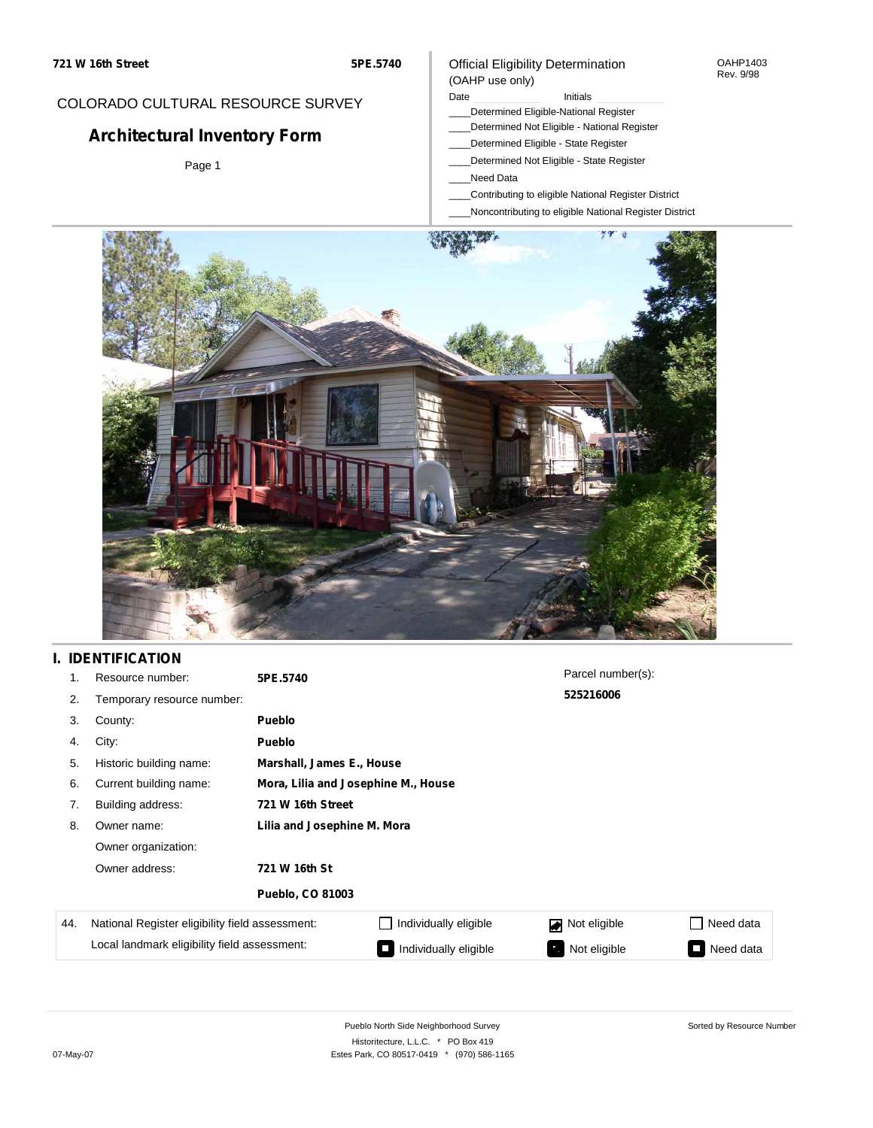### COLORADO CULTURAL RESOURCE SURVEY

# **Architectural Inventory Form**

Page 1

#### Official Eligibility Determination (OAHP use only)

#### Date **Initials** Initials

- \_\_\_\_Determined Eligible-National Register
- \_\_\_\_Determined Not Eligible National Register
- \_\_\_\_Determined Eligible State Register
- \_\_\_\_Determined Not Eligible State Register
- \_\_\_\_Need Data
- \_\_\_\_Contributing to eligible National Register District
- \_\_\_\_Noncontributing to eligible National Register District



## **I. IDENTIFICATION**

| 1.  | Resource number:                                | 5PE.5740                    |                                     | Parcel number(s):  |                 |  |  |  |
|-----|-------------------------------------------------|-----------------------------|-------------------------------------|--------------------|-----------------|--|--|--|
| 2.  | Temporary resource number:                      |                             |                                     | 525216006          |                 |  |  |  |
| 3.  | County:                                         | <b>Pueblo</b>               |                                     |                    |                 |  |  |  |
| 4.  | City:                                           | <b>Pueblo</b>               |                                     |                    |                 |  |  |  |
| 5.  | Historic building name:                         |                             | Marshall, James E., House           |                    |                 |  |  |  |
| 6.  | Current building name:                          |                             | Mora, Lilia and Josephine M., House |                    |                 |  |  |  |
| 7.  | Building address:                               | 721 W 16th Street           |                                     |                    |                 |  |  |  |
| 8.  | Owner name:                                     | Lilia and Josephine M. Mora |                                     |                    |                 |  |  |  |
|     | Owner organization:                             |                             |                                     |                    |                 |  |  |  |
|     | Owner address:<br>721 W 16th St                 |                             |                                     |                    |                 |  |  |  |
|     |                                                 | <b>Pueblo, CO 81003</b>     |                                     |                    |                 |  |  |  |
| 44. | National Register eligibility field assessment: |                             | Individually eligible               | Not eligible<br>◪  | Need data       |  |  |  |
|     | Local landmark eligibility field assessment:    |                             | Individually eligible               | Not eligible<br>ъ. | Need data<br>Ī. |  |  |  |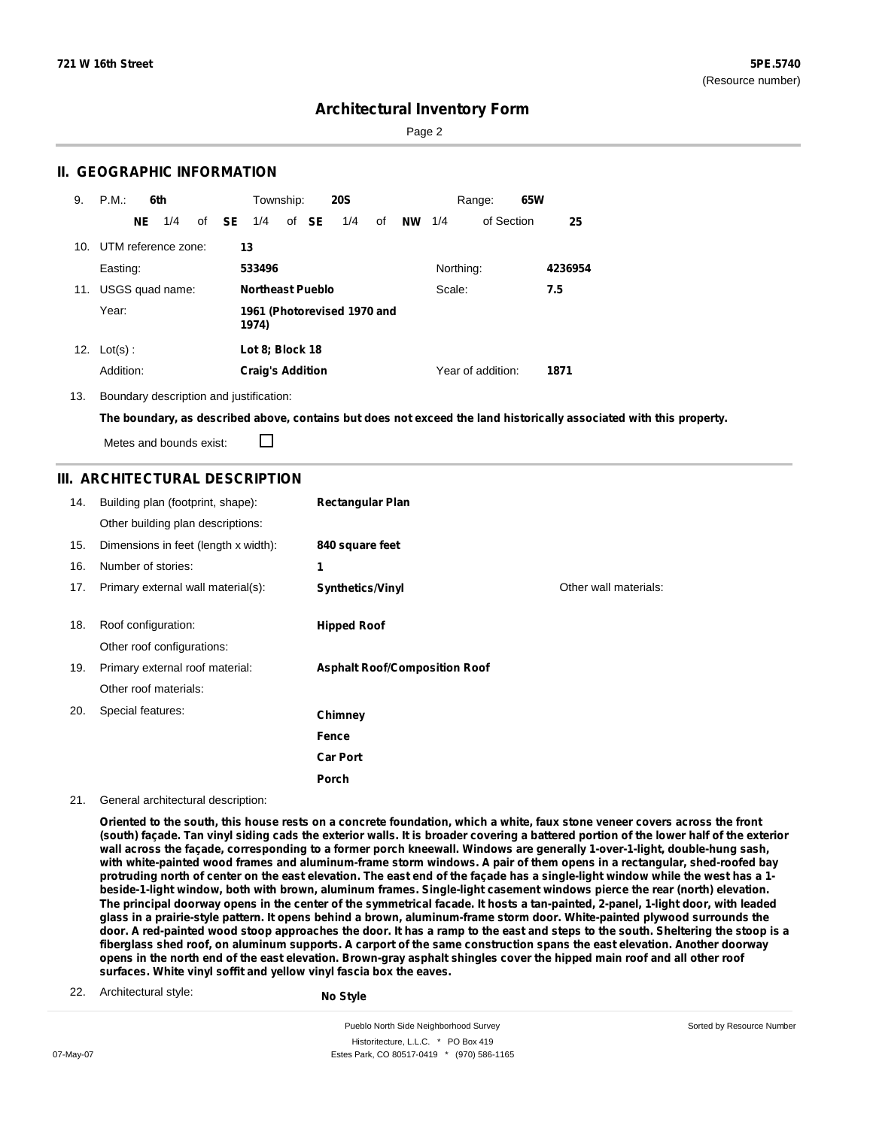Sorted by Resource Number

### **Architectural Inventory Form**

Page 2

### **II. GEOGRAPHIC INFORMATION**

| 9.  | P.M.                    |     | 6th             |              | Township:                            |  |       | <b>20S</b> |    |    |           | Range:            | 65W |         |
|-----|-------------------------|-----|-----------------|--------------|--------------------------------------|--|-------|------------|----|----|-----------|-------------------|-----|---------|
|     |                         | NE. | 1/4             | of <b>SE</b> | 1/4                                  |  | of SE | 1/4        | of | NW | 1/4       | of Section        |     | 25      |
|     | 10. UTM reference zone: |     |                 |              | 13                                   |  |       |            |    |    |           |                   |     |         |
|     | Easting:                |     |                 |              | 533496                               |  |       |            |    |    | Northing: |                   |     | 4236954 |
| 11. |                         |     | USGS quad name: |              | <b>Northeast Pueblo</b>              |  |       |            |    |    | Scale:    |                   |     | 7.5     |
|     | Year:                   |     |                 |              | 1961 (Photorevised 1970 and<br>1974) |  |       |            |    |    |           |                   |     |         |
| 12. | $Lot(s)$ :              |     |                 |              | Lot 8; Block 18                      |  |       |            |    |    |           |                   |     |         |
|     | Addition:               |     |                 |              | <b>Craig's Addition</b>              |  |       |            |    |    |           | Year of addition: |     | 1871    |

13. Boundary description and justification:

The boundary, as described above, contains but does not exceed the land historically associated with this property.

Metes and bounds exist:

П

### **III. ARCHITECTURAL DESCRIPTION**

| 14. | Building plan (footprint, shape):    | <b>Rectangular Plan</b>              |                       |
|-----|--------------------------------------|--------------------------------------|-----------------------|
|     | Other building plan descriptions:    |                                      |                       |
| 15. | Dimensions in feet (length x width): | 840 square feet                      |                       |
| 16. | Number of stories:                   | 1                                    |                       |
| 17. | Primary external wall material(s):   | Synthetics/Vinyl                     | Other wall materials: |
|     |                                      |                                      |                       |
| 18. | Roof configuration:                  | <b>Hipped Roof</b>                   |                       |
|     | Other roof configurations:           |                                      |                       |
| 19. | Primary external roof material:      | <b>Asphalt Roof/Composition Roof</b> |                       |
|     | Other roof materials:                |                                      |                       |
| 20. | Special features:                    | Chimney                              |                       |
|     |                                      | Fence                                |                       |
|     |                                      | <b>Car Port</b>                      |                       |
|     |                                      | Porch                                |                       |

21. General architectural description:

Oriented to the south, this house rests on a concrete foundation, which a white, faux stone veneer covers across the front (south) façade. Tan vinyl siding cads the exterior walls. It is broader covering a battered portion of the lower half of the exterior wall across the façade, corresponding to a former porch kneewall. Windows are generally 1-over-1-light, double-hung sash, with white-painted wood frames and aluminum-frame storm windows. A pair of them opens in a rectangular, shed-roofed bay protruding north of center on the east elevation. The east end of the façade has a single-light window while the west has a 1beside-1-light window, both with brown, aluminum frames. Single-light casement windows pierce the rear (north) elevation. The principal doorway opens in the center of the symmetrical facade. It hosts a tan-painted, 2-panel, 1-light door, with leaded glass in a prairie-style pattern. It opens behind a brown, aluminum-frame storm door. White-painted plywood surrounds the door. A red-painted wood stoop approaches the door. It has a ramp to the east and steps to the south. Sheltering the stoop is a fiberglass shed roof, on aluminum supports. A carport of the same construction spans the east elevation. Another doorway opens in the north end of the east elevation. Brown-gray asphalt shingles cover the hipped main roof and all other roof **surfaces. White vinyl soffit and yellow vinyl fascia box the eaves.**

22. Architectural style:

**No Style**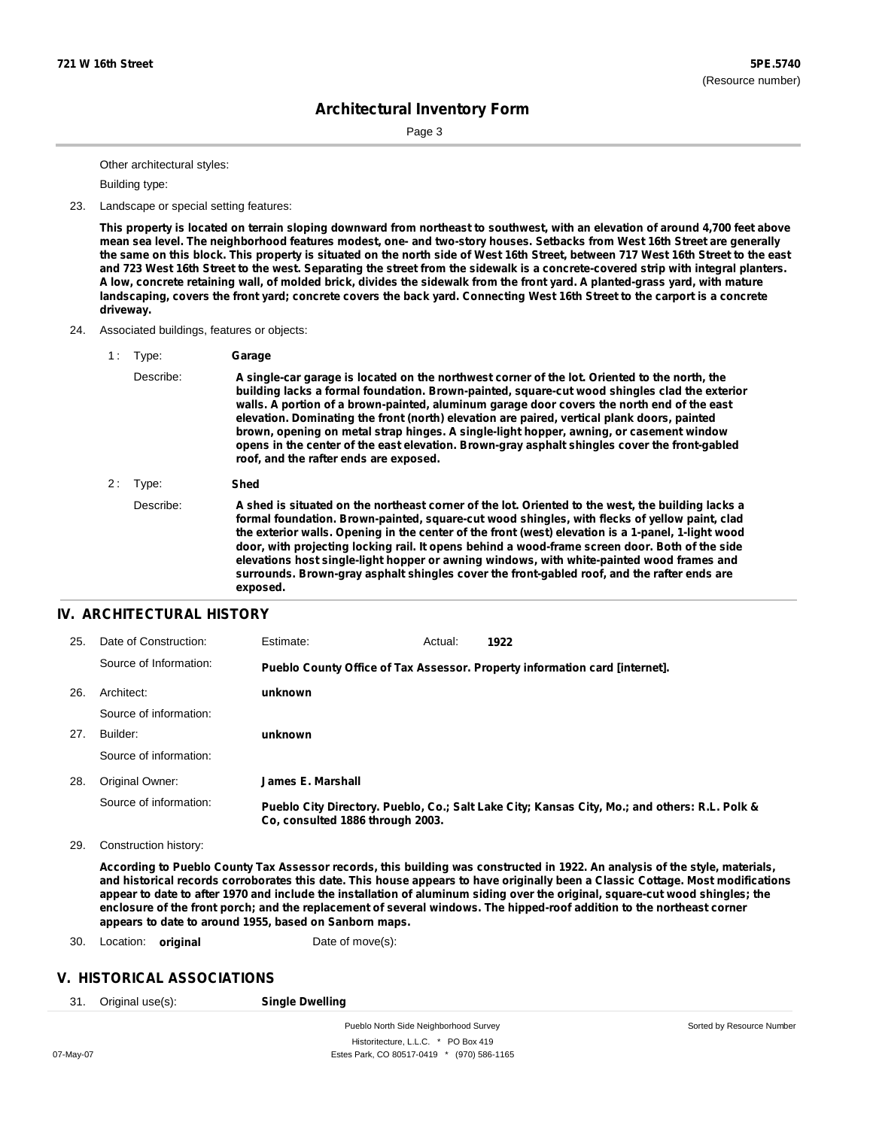Page 3

Other architectural styles:

Building type:

23. Landscape or special setting features:

This property is located on terrain sloping downward from northeast to southwest, with an elevation of around 4,700 feet above mean sea level. The neighborhood features modest, one- and two-story houses. Setbacks from West 16th Street are generally the same on this block. This property is situated on the north side of West 16th Street, between 717 West 16th Street to the east and 723 West 16th Street to the west. Separating the street from the sidewalk is a concrete-covered strip with integral planters. A low, concrete retaining wall, of molded brick, divides the sidewalk from the front yard. A planted-grass yard, with mature landscaping, covers the front yard; concrete covers the back yard. Connecting West 16th Street to the carport is a concrete **driveway.**

- 24. Associated buildings, features or objects:
	- 1 : Type: **Garage** Describe: **A single-car garage is located on the northwest corner of the lot. Oriented to the north, the building lacks a formal foundation. Brown-painted, square-cut wood shingles clad the exterior walls. A portion of a brown-painted, aluminum garage door covers the north end of the east elevation. Dominating the front (north) elevation are paired, vertical plank doors, painted brown, opening on metal strap hinges. A single-light hopper, awning, or casement window opens in the center of the east elevation. Brown-gray asphalt shingles cover the front-gabled roof, and the rafter ends are exposed.**
	- 2 : Type: **Shed** Describe: A shed is situated on the northeast corner of the lot. Oriented to the west, the building lacks a **formal foundation. Brown-painted, square-cut wood shingles, with flecks of yellow paint, clad the exterior walls. Opening in the center of the front (west) elevation is a 1-panel, 1-light wood door, with projecting locking rail. It opens behind a wood-frame screen door. Both of the side elevations host single-light hopper or awning windows, with white-painted wood frames and surrounds. Brown-gray asphalt shingles cover the front-gabled roof, and the rafter ends are exposed.**

#### **IV. ARCHITECTURAL HISTORY**

| 25. | Date of Construction:  | Estimate:                        | Actual: | 1922                                                                                          |
|-----|------------------------|----------------------------------|---------|-----------------------------------------------------------------------------------------------|
|     | Source of Information: |                                  |         | Pueblo County Office of Tax Assessor. Property information card [internet].                   |
| 26. | Architect:             | unknown                          |         |                                                                                               |
|     | Source of information: |                                  |         |                                                                                               |
| 27. | Builder:               | unknown                          |         |                                                                                               |
|     | Source of information: |                                  |         |                                                                                               |
| 28. | Original Owner:        | James E. Marshall                |         |                                                                                               |
|     | Source of information: | Co. consulted 1886 through 2003. |         | Pueblo City Directory. Pueblo, Co.; Salt Lake City; Kansas City, Mo.; and others: R.L. Polk & |

29. Construction history:

According to Pueblo County Tax Assessor records, this building was constructed in 1922. An analysis of the style, materials, and historical records corroborates this date. This house appears to have originally been a Classic Cottage. Most modifications appear to date to after 1970 and include the installation of aluminum siding over the original, square-cut wood shingles; the enclosure of the front porch; and the replacement of several windows. The hipped-roof addition to the northeast corner **appears to date to around 1955, based on Sanborn maps.**

30. Location: **original** Date of move(s):

#### **V. HISTORICAL ASSOCIATIONS**

31. Original use(s): **Single Dwelling**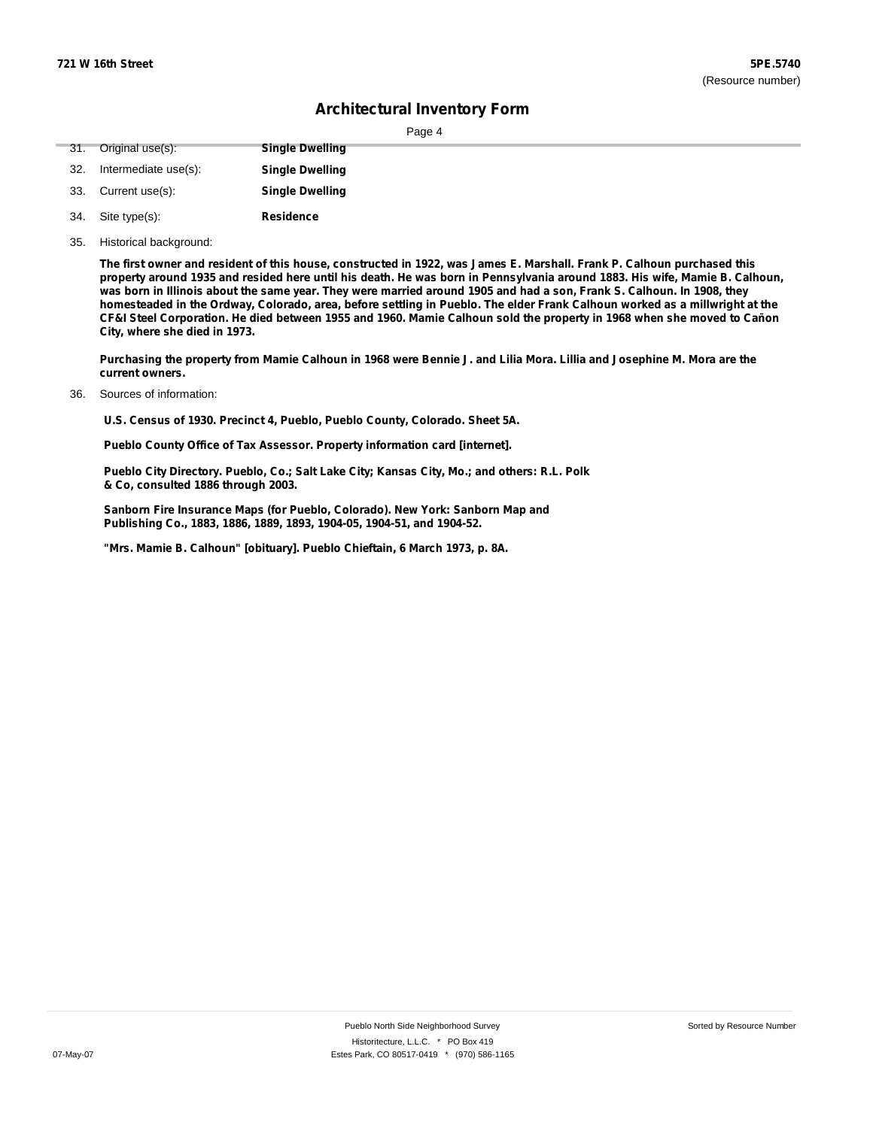| юe<br>я |  |
|---------|--|
|         |  |

|     |                      | $1$ ago $\tau$         |
|-----|----------------------|------------------------|
| 31. | Original use(s):     | <b>Single Dwelling</b> |
| 32. | Intermediate use(s): | <b>Single Dwelling</b> |
| 33. | Current use(s):      | <b>Single Dwelling</b> |
|     | 34. Site type(s):    | <b>Residence</b>       |
|     | __                   |                        |

35. Historical background:

The first owner and resident of this house, constructed in 1922, was James E. Marshall. Frank P. Calhoun purchased this property around 1935 and resided here until his death. He was born in Pennsylvania around 1883. His wife, Mamie B. Calhoun, was born in Illinois about the same year. They were married around 1905 and had a son, Frank S. Calhoun. In 1908, they homesteaded in the Ordway, Colorado, area, before settling in Pueblo. The elder Frank Calhoun worked as a millwright at the CF&I Steel Corporation. He died between 1955 and 1960. Mamie Calhoun sold the property in 1968 when she moved to Cañon **City, where she died in 1973.**

Purchasing the property from Mamie Calhoun in 1968 were Bennie J. and Lilia Mora. Lillia and Josephine M. Mora are the **current owners.**

Sources of information: 36.

**U.S. Census of 1930. Precinct 4, Pueblo, Pueblo County, Colorado. Sheet 5A.**

**Pueblo County Office of Tax Assessor. Property information card [internet].**

**Pueblo City Directory. Pueblo, Co.; Salt Lake City; Kansas City, Mo.; and others: R.L. Polk & Co, consulted 1886 through 2003.**

**Sanborn Fire Insurance Maps (for Pueblo, Colorado). New York: Sanborn Map and Publishing Co., 1883, 1886, 1889, 1893, 1904-05, 1904-51, and 1904-52.**

**"Mrs. Mamie B. Calhoun" [obituary]. Pueblo Chieftain, 6 March 1973, p. 8A.**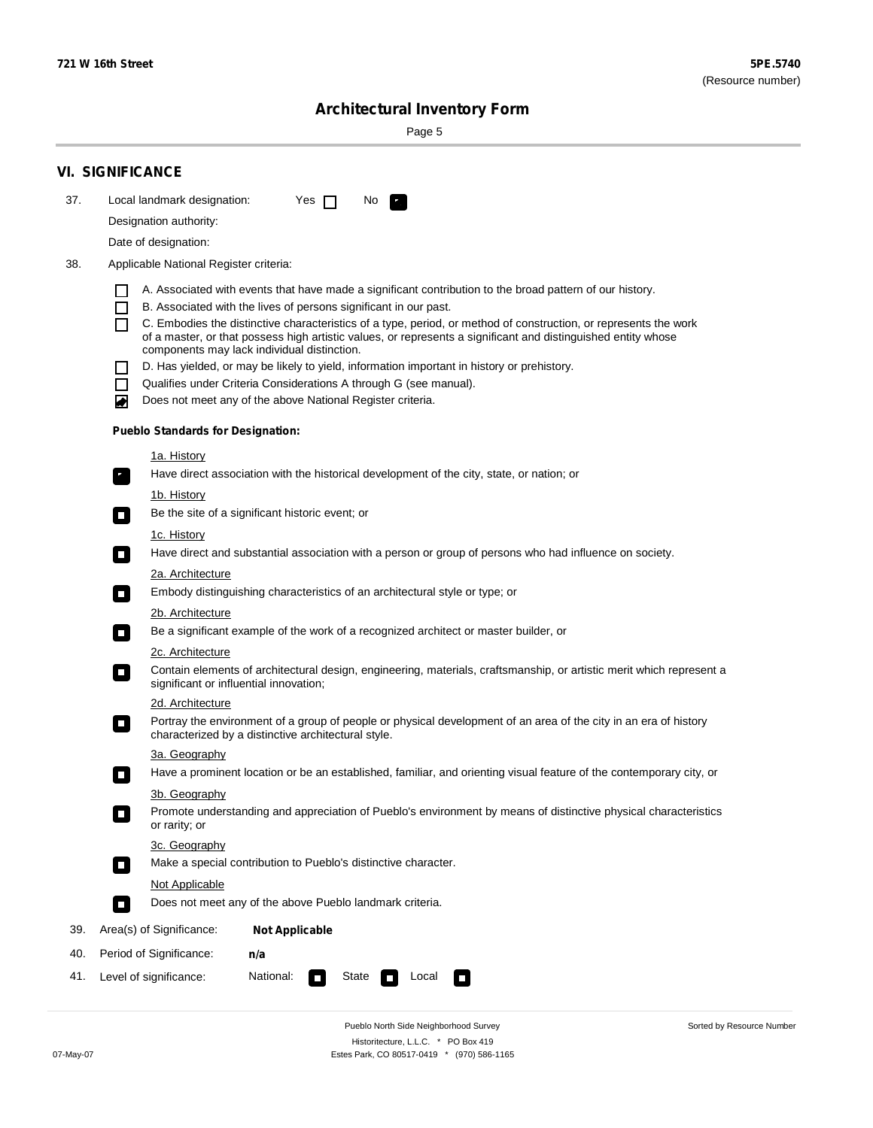$\sim$ 

Sorted by Resource Number

# **Architectural Inventory Form**

Page 5

|     | <b>VI. SIGNIFICANCE</b>                                                                                                                                                                                |  |  |  |  |  |  |  |  |
|-----|--------------------------------------------------------------------------------------------------------------------------------------------------------------------------------------------------------|--|--|--|--|--|--|--|--|
| 37. | Local landmark designation:<br>Yes $\Box$<br>No.<br>P.                                                                                                                                                 |  |  |  |  |  |  |  |  |
|     | Designation authority:                                                                                                                                                                                 |  |  |  |  |  |  |  |  |
|     | Date of designation:                                                                                                                                                                                   |  |  |  |  |  |  |  |  |
| 38. | Applicable National Register criteria:                                                                                                                                                                 |  |  |  |  |  |  |  |  |
|     | A. Associated with events that have made a significant contribution to the broad pattern of our history.<br>ΙI                                                                                         |  |  |  |  |  |  |  |  |
|     | B. Associated with the lives of persons significant in our past.<br>ΙI                                                                                                                                 |  |  |  |  |  |  |  |  |
|     | C. Embodies the distinctive characteristics of a type, period, or method of construction, or represents the work<br>П                                                                                  |  |  |  |  |  |  |  |  |
|     | of a master, or that possess high artistic values, or represents a significant and distinguished entity whose<br>components may lack individual distinction.                                           |  |  |  |  |  |  |  |  |
|     | D. Has yielded, or may be likely to yield, information important in history or prehistory.<br>ΙI                                                                                                       |  |  |  |  |  |  |  |  |
|     | Qualifies under Criteria Considerations A through G (see manual).<br>$\blacksquare$                                                                                                                    |  |  |  |  |  |  |  |  |
|     | Does not meet any of the above National Register criteria.<br>◙                                                                                                                                        |  |  |  |  |  |  |  |  |
|     | <b>Pueblo Standards for Designation:</b>                                                                                                                                                               |  |  |  |  |  |  |  |  |
|     | <u>1a. History</u>                                                                                                                                                                                     |  |  |  |  |  |  |  |  |
|     | Have direct association with the historical development of the city, state, or nation; or<br>$\mathbf{r}_\perp$                                                                                        |  |  |  |  |  |  |  |  |
|     | 1b. History                                                                                                                                                                                            |  |  |  |  |  |  |  |  |
|     | Be the site of a significant historic event; or<br>$\overline{\phantom{a}}$                                                                                                                            |  |  |  |  |  |  |  |  |
|     | 1c. History                                                                                                                                                                                            |  |  |  |  |  |  |  |  |
|     | Have direct and substantial association with a person or group of persons who had influence on society.<br>$\overline{\phantom{a}}$                                                                    |  |  |  |  |  |  |  |  |
|     | 2a. Architecture                                                                                                                                                                                       |  |  |  |  |  |  |  |  |
|     | Embody distinguishing characteristics of an architectural style or type; or<br>$\Box$                                                                                                                  |  |  |  |  |  |  |  |  |
|     | <u>2b. Architecture</u>                                                                                                                                                                                |  |  |  |  |  |  |  |  |
|     | Be a significant example of the work of a recognized architect or master builder, or<br>$\overline{\phantom{a}}$                                                                                       |  |  |  |  |  |  |  |  |
|     | <b>2c. Architecture</b><br>Contain elements of architectural design, engineering, materials, craftsmanship, or artistic merit which represent a                                                        |  |  |  |  |  |  |  |  |
|     | о<br>significant or influential innovation;                                                                                                                                                            |  |  |  |  |  |  |  |  |
|     | 2d. Architecture                                                                                                                                                                                       |  |  |  |  |  |  |  |  |
|     | Portray the environment of a group of people or physical development of an area of the city in an era of history<br>$\mathcal{L}_{\mathcal{A}}$<br>characterized by a distinctive architectural style. |  |  |  |  |  |  |  |  |
|     | 3a. Geography                                                                                                                                                                                          |  |  |  |  |  |  |  |  |
|     | Have a prominent location or be an established, familiar, and orienting visual feature of the contemporary city, or<br>П                                                                               |  |  |  |  |  |  |  |  |
|     | 3b. Geography                                                                                                                                                                                          |  |  |  |  |  |  |  |  |
|     | Promote understanding and appreciation of Pueblo's environment by means of distinctive physical characteristics<br>or rarity; or                                                                       |  |  |  |  |  |  |  |  |
|     | 3c. Geography                                                                                                                                                                                          |  |  |  |  |  |  |  |  |
|     | Make a special contribution to Pueblo's distinctive character.                                                                                                                                         |  |  |  |  |  |  |  |  |
|     | Not Applicable                                                                                                                                                                                         |  |  |  |  |  |  |  |  |
|     | Does not meet any of the above Pueblo landmark criteria.<br>$\overline{\phantom{a}}$                                                                                                                   |  |  |  |  |  |  |  |  |
| 39. | Area(s) of Significance:<br><b>Not Applicable</b>                                                                                                                                                      |  |  |  |  |  |  |  |  |
| 40. | Period of Significance:<br>n/a                                                                                                                                                                         |  |  |  |  |  |  |  |  |
| 41. | National:<br>Level of significance:<br>Local<br>State<br>О                                                                                                                                             |  |  |  |  |  |  |  |  |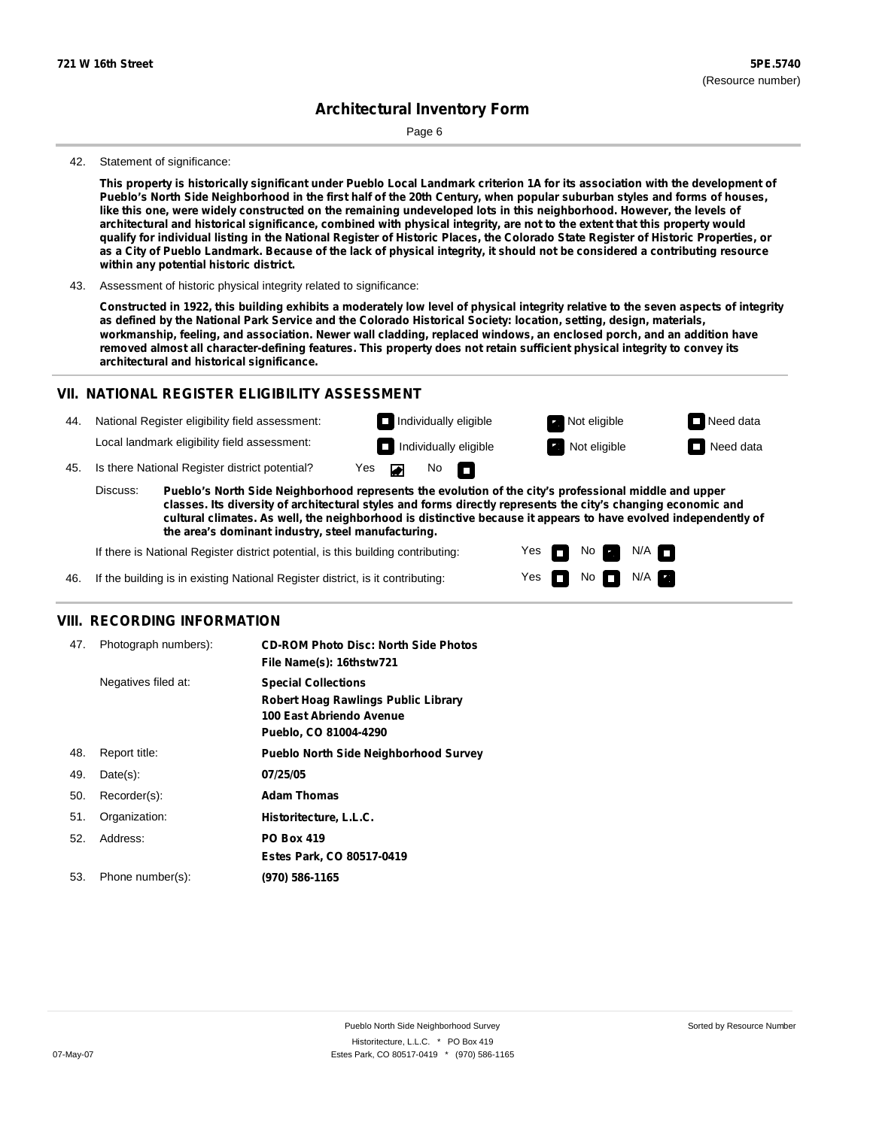Page 6

#### 42. Statement of significance:

This property is historically significant under Pueblo Local Landmark criterion 1A for its association with the development of Pueblo's North Side Neighborhood in the first half of the 20th Century, when popular suburban styles and forms of houses, like this one, were widely constructed on the remaining undeveloped lots in this neighborhood. However, the levels of architectural and historical significance, combined with physical integrity, are not to the extent that this property would qualify for individual listing in the National Register of Historic Places, the Colorado State Register of Historic Properties, or as a City of Pueblo Landmark. Because of the lack of physical integrity, it should not be considered a contributing resource **within any potential historic district.**

43. Assessment of historic physical integrity related to significance:

Constructed in 1922, this building exhibits a moderately low level of physical integrity relative to the seven aspects of integrity as defined by the National Park Service and the Colorado Historical Society: location, setting, design, materials, workmanship, feeling, and association. Newer wall cladding, replaced windows, an enclosed porch, and an addition have removed almost all character-defining features. This property does not retain sufficient physical integrity to convey its **architectural and historical significance.**

#### **VII. NATIONAL REGISTER ELIGIBILITY ASSESSMENT**

44. National Register eligibility field assessment: Local landmark eligibility field assessment:

**Individually eligible Not eligible Not eligible Need data** 

 $N$ o  $\Box$ 

No

 $No$  N/A

N/A IT

Yes Yes

**Individually eligible Not eligible** Not eligible **Need data** 

45. Is there National Register district potential? Yes

**Pueblo's North Side Neighborhood represents the evolution of the city's professional middle and upper classes. Its diversity of architectural styles and forms directly represents the city's changing economic and cultural climates. As well, the neighborhood is distinctive because it appears to have evolved independently of the area's dominant industry, steel manufacturing.** Discuss:

 $\blacksquare$ 

If there is National Register district potential, is this building contributing:



#### **VIII. RECORDING INFORMATION**

| 47. | Photograph numbers): | <b>CD-ROM Photo Disc: North Side Photos</b><br>File Name(s): 16thstw721                                                       |
|-----|----------------------|-------------------------------------------------------------------------------------------------------------------------------|
|     | Negatives filed at:  | <b>Special Collections</b><br><b>Robert Hoag Rawlings Public Library</b><br>100 East Abriendo Avenue<br>Pueblo, CO 81004-4290 |
| 48. | Report title:        | <b>Pueblo North Side Neighborhood Survey</b>                                                                                  |
| 49. | $Date(s)$ :          | 07/25/05                                                                                                                      |
| 50. | Recorder(s):         | <b>Adam Thomas</b>                                                                                                            |
| 51. | Organization:        | Historitecture, L.L.C.                                                                                                        |
| 52. | Address:             | <b>PO Box 419</b>                                                                                                             |
|     |                      | Estes Park, CO 80517-0419                                                                                                     |
| 53. | Phone number(s):     | (970) 586-1165                                                                                                                |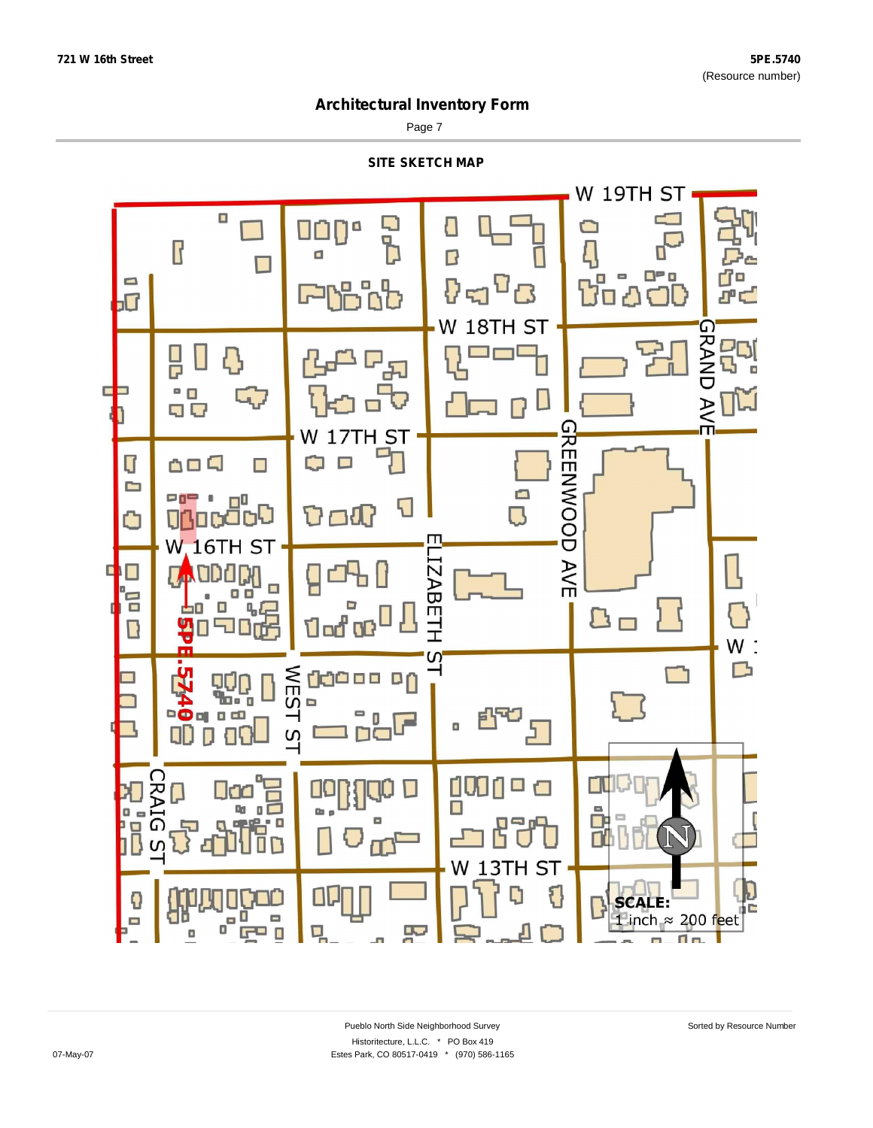Page 7